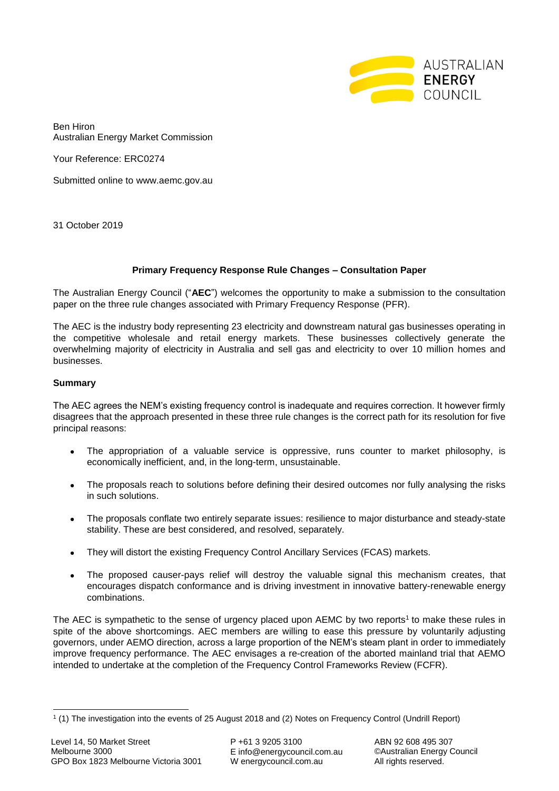

Ben Hiron Australian Energy Market Commission

Your Reference: ERC0274

Submitted online to www.aemc.gov.au

31 October 2019

# **Primary Frequency Response Rule Changes – Consultation Paper**

The Australian Energy Council ("**AEC**") welcomes the opportunity to make a submission to the consultation paper on the three rule changes associated with Primary Frequency Response (PFR).

The AEC is the industry body representing 23 electricity and downstream natural gas businesses operating in the competitive wholesale and retail energy markets. These businesses collectively generate the overwhelming majority of electricity in Australia and sell gas and electricity to over 10 million homes and businesses.

# **Summary**

The AEC agrees the NEM's existing frequency control is inadequate and requires correction. It however firmly disagrees that the approach presented in these three rule changes is the correct path for its resolution for five principal reasons:

- The appropriation of a valuable service is oppressive, runs counter to market philosophy, is economically inefficient, and, in the long-term, unsustainable.
- The proposals reach to solutions before defining their desired outcomes nor fully analysing the risks in such solutions.
- The proposals conflate two entirely separate issues: resilience to major disturbance and steady-state stability. These are best considered, and resolved, separately.
- They will distort the existing Frequency Control Ancillary Services (FCAS) markets.
- The proposed causer-pays relief will destroy the valuable signal this mechanism creates, that encourages dispatch conformance and is driving investment in innovative battery-renewable energy combinations.

The AEC is sympathetic to the sense of urgency placed upon AEMC by two reports<sup>1</sup> to make these rules in spite of the above shortcomings. AEC members are willing to ease this pressure by voluntarily adjusting governors, under AEMO direction, across a large proportion of the NEM's steam plant in order to immediately improve frequency performance. The AEC envisages a re-creation of the aborted mainland trial that AEMO intended to undertake at the completion of the Frequency Control Frameworks Review (FCFR).

-

<sup>1</sup> (1) The investigation into the events of 25 August 2018 and (2) Notes on Frequency Control (Undrill Report)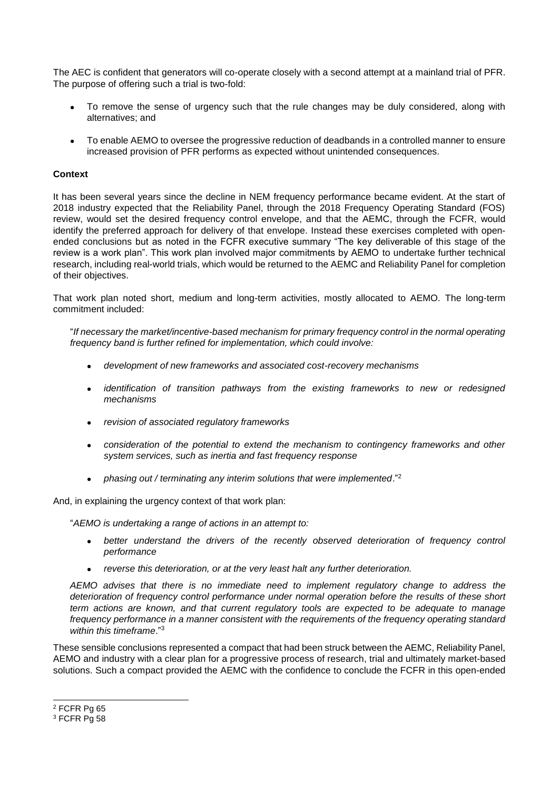The AEC is confident that generators will co-operate closely with a second attempt at a mainland trial of PFR. The purpose of offering such a trial is two-fold:

- To remove the sense of urgency such that the rule changes may be duly considered, along with alternatives; and
- To enable AEMO to oversee the progressive reduction of deadbands in a controlled manner to ensure increased provision of PFR performs as expected without unintended consequences.

#### **Context**

It has been several years since the decline in NEM frequency performance became evident. At the start of 2018 industry expected that the Reliability Panel, through the 2018 Frequency Operating Standard (FOS) review, would set the desired frequency control envelope, and that the AEMC, through the FCFR, would identify the preferred approach for delivery of that envelope. Instead these exercises completed with openended conclusions but as noted in the FCFR executive summary "The key deliverable of this stage of the review is a work plan". This work plan involved major commitments by AEMO to undertake further technical research, including real-world trials, which would be returned to the AEMC and Reliability Panel for completion of their objectives.

That work plan noted short, medium and long-term activities, mostly allocated to AEMO. The long-term commitment included:

"*If necessary the market/incentive-based mechanism for primary frequency control in the normal operating frequency band is further refined for implementation, which could involve:* 

- *development of new frameworks and associated cost-recovery mechanisms*
- *identification of transition pathways from the existing frameworks to new or redesigned mechanisms*
- *revision of associated regulatory frameworks*
- *consideration of the potential to extend the mechanism to contingency frameworks and other system services, such as inertia and fast frequency response*
- *phasing out / terminating any interim solutions that were implemented*."<sup>2</sup>

And, in explaining the urgency context of that work plan:

"*AEMO is undertaking a range of actions in an attempt to:*

- *better understand the drivers of the recently observed deterioration of frequency control performance*
- *reverse this deterioration, or at the very least halt any further deterioration.*

*AEMO advises that there is no immediate need to implement regulatory change to address the deterioration of frequency control performance under normal operation before the results of these short term actions are known, and that current regulatory tools are expected to be adequate to manage frequency performance in a manner consistent with the requirements of the frequency operating standard within this timeframe*." 3

These sensible conclusions represented a compact that had been struck between the AEMC, Reliability Panel, AEMO and industry with a clear plan for a progressive process of research, trial and ultimately market-based solutions. Such a compact provided the AEMC with the confidence to conclude the FCFR in this open-ended

1

<sup>2</sup> FCFR Pg 65

<sup>3</sup> FCFR Pg 58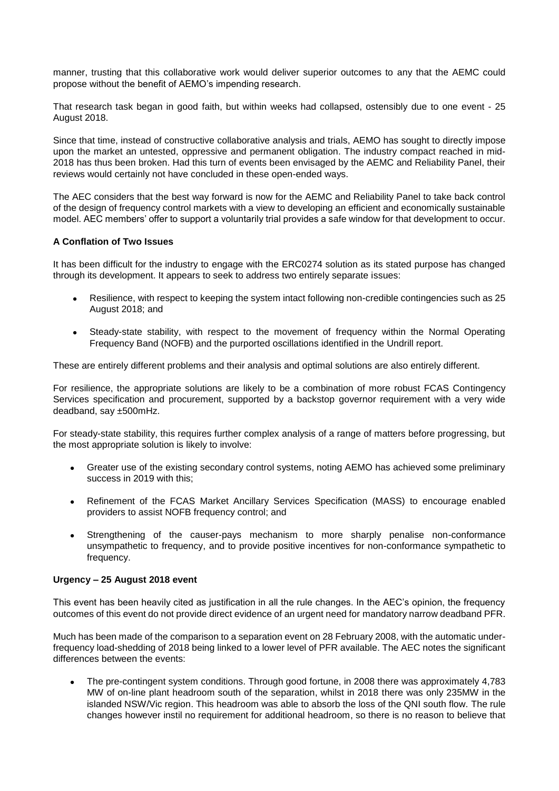manner, trusting that this collaborative work would deliver superior outcomes to any that the AEMC could propose without the benefit of AEMO's impending research.

That research task began in good faith, but within weeks had collapsed, ostensibly due to one event - 25 August 2018.

Since that time, instead of constructive collaborative analysis and trials, AEMO has sought to directly impose upon the market an untested, oppressive and permanent obligation. The industry compact reached in mid-2018 has thus been broken. Had this turn of events been envisaged by the AEMC and Reliability Panel, their reviews would certainly not have concluded in these open-ended ways.

The AEC considers that the best way forward is now for the AEMC and Reliability Panel to take back control of the design of frequency control markets with a view to developing an efficient and economically sustainable model. AEC members' offer to support a voluntarily trial provides a safe window for that development to occur.

# **A Conflation of Two Issues**

It has been difficult for the industry to engage with the ERC0274 solution as its stated purpose has changed through its development. It appears to seek to address two entirely separate issues:

- Resilience, with respect to keeping the system intact following non-credible contingencies such as 25 August 2018; and
- Steady-state stability, with respect to the movement of frequency within the Normal Operating Frequency Band (NOFB) and the purported oscillations identified in the Undrill report.

These are entirely different problems and their analysis and optimal solutions are also entirely different.

For resilience, the appropriate solutions are likely to be a combination of more robust FCAS Contingency Services specification and procurement, supported by a backstop governor requirement with a very wide deadband, say ±500mHz.

For steady-state stability, this requires further complex analysis of a range of matters before progressing, but the most appropriate solution is likely to involve:

- Greater use of the existing secondary control systems, noting AEMO has achieved some preliminary success in 2019 with this:
- Refinement of the FCAS Market Ancillary Services Specification (MASS) to encourage enabled providers to assist NOFB frequency control; and
- Strengthening of the causer-pays mechanism to more sharply penalise non-conformance unsympathetic to frequency, and to provide positive incentives for non-conformance sympathetic to frequency.

# **Urgency – 25 August 2018 event**

This event has been heavily cited as justification in all the rule changes. In the AEC's opinion, the frequency outcomes of this event do not provide direct evidence of an urgent need for mandatory narrow deadband PFR.

Much has been made of the comparison to a separation event on 28 February 2008, with the automatic underfrequency load-shedding of 2018 being linked to a lower level of PFR available. The AEC notes the significant differences between the events:

 The pre-contingent system conditions. Through good fortune, in 2008 there was approximately 4,783 MW of on-line plant headroom south of the separation, whilst in 2018 there was only 235MW in the islanded NSW/Vic region. This headroom was able to absorb the loss of the QNI south flow. The rule changes however instil no requirement for additional headroom, so there is no reason to believe that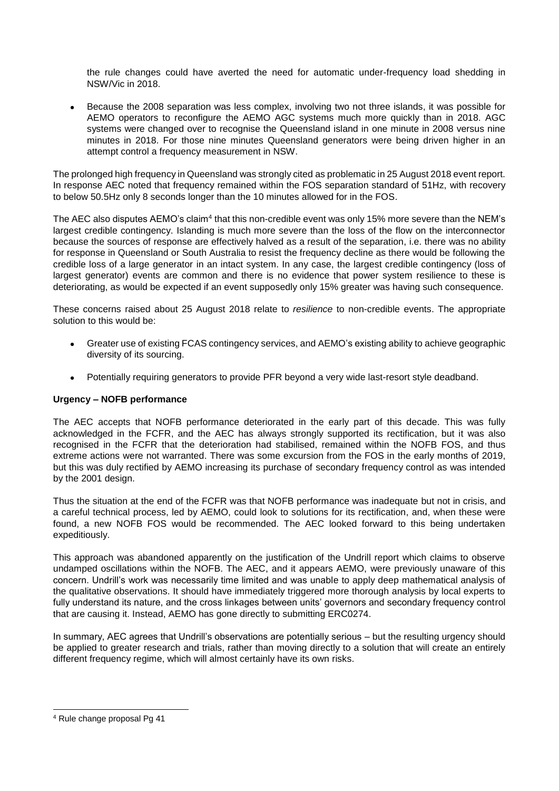the rule changes could have averted the need for automatic under-frequency load shedding in NSW/Vic in 2018.

 Because the 2008 separation was less complex, involving two not three islands, it was possible for AEMO operators to reconfigure the AEMO AGC systems much more quickly than in 2018. AGC systems were changed over to recognise the Queensland island in one minute in 2008 versus nine minutes in 2018. For those nine minutes Queensland generators were being driven higher in an attempt control a frequency measurement in NSW.

The prolonged high frequency in Queensland was strongly cited as problematic in 25 August 2018 event report. In response AEC noted that frequency remained within the FOS separation standard of 51Hz, with recovery to below 50.5Hz only 8 seconds longer than the 10 minutes allowed for in the FOS.

The AEC also disputes AEMO's claim<sup>4</sup> that this non-credible event was only 15% more severe than the NEM's largest credible contingency. Islanding is much more severe than the loss of the flow on the interconnector because the sources of response are effectively halved as a result of the separation, i.e. there was no ability for response in Queensland or South Australia to resist the frequency decline as there would be following the credible loss of a large generator in an intact system. In any case, the largest credible contingency (loss of largest generator) events are common and there is no evidence that power system resilience to these is deteriorating, as would be expected if an event supposedly only 15% greater was having such consequence.

These concerns raised about 25 August 2018 relate to *resilience* to non-credible events. The appropriate solution to this would be:

- Greater use of existing FCAS contingency services, and AEMO's existing ability to achieve geographic diversity of its sourcing.
- Potentially requiring generators to provide PFR beyond a very wide last-resort style deadband.

# **Urgency – NOFB performance**

The AEC accepts that NOFB performance deteriorated in the early part of this decade. This was fully acknowledged in the FCFR, and the AEC has always strongly supported its rectification, but it was also recognised in the FCFR that the deterioration had stabilised, remained within the NOFB FOS, and thus extreme actions were not warranted. There was some excursion from the FOS in the early months of 2019, but this was duly rectified by AEMO increasing its purchase of secondary frequency control as was intended by the 2001 design.

Thus the situation at the end of the FCFR was that NOFB performance was inadequate but not in crisis, and a careful technical process, led by AEMO, could look to solutions for its rectification, and, when these were found, a new NOFB FOS would be recommended. The AEC looked forward to this being undertaken expeditiously.

This approach was abandoned apparently on the justification of the Undrill report which claims to observe undamped oscillations within the NOFB. The AEC, and it appears AEMO, were previously unaware of this concern. Undrill's work was necessarily time limited and was unable to apply deep mathematical analysis of the qualitative observations. It should have immediately triggered more thorough analysis by local experts to fully understand its nature, and the cross linkages between units' governors and secondary frequency control that are causing it. Instead, AEMO has gone directly to submitting ERC0274.

In summary, AEC agrees that Undrill's observations are potentially serious – but the resulting urgency should be applied to greater research and trials, rather than moving directly to a solution that will create an entirely different frequency regime, which will almost certainly have its own risks.

-

<sup>4</sup> Rule change proposal Pg 41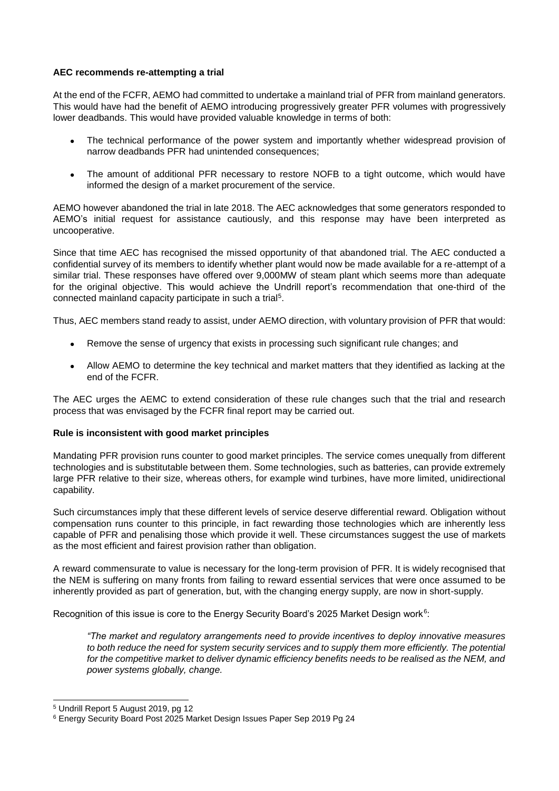#### **AEC recommends re-attempting a trial**

At the end of the FCFR, AEMO had committed to undertake a mainland trial of PFR from mainland generators. This would have had the benefit of AEMO introducing progressively greater PFR volumes with progressively lower deadbands. This would have provided valuable knowledge in terms of both:

- The technical performance of the power system and importantly whether widespread provision of narrow deadbands PFR had unintended consequences;
- The amount of additional PFR necessary to restore NOFB to a tight outcome, which would have informed the design of a market procurement of the service.

AEMO however abandoned the trial in late 2018. The AEC acknowledges that some generators responded to AEMO's initial request for assistance cautiously, and this response may have been interpreted as uncooperative.

Since that time AEC has recognised the missed opportunity of that abandoned trial. The AEC conducted a confidential survey of its members to identify whether plant would now be made available for a re-attempt of a similar trial. These responses have offered over 9,000MW of steam plant which seems more than adequate for the original objective. This would achieve the Undrill report's recommendation that one-third of the connected mainland capacity participate in such a trial<sup>5</sup>.

Thus, AEC members stand ready to assist, under AEMO direction, with voluntary provision of PFR that would:

- Remove the sense of urgency that exists in processing such significant rule changes; and
- Allow AEMO to determine the key technical and market matters that they identified as lacking at the end of the FCFR.

The AEC urges the AEMC to extend consideration of these rule changes such that the trial and research process that was envisaged by the FCFR final report may be carried out.

# **Rule is inconsistent with good market principles**

Mandating PFR provision runs counter to good market principles. The service comes unequally from different technologies and is substitutable between them. Some technologies, such as batteries, can provide extremely large PFR relative to their size, whereas others, for example wind turbines, have more limited, unidirectional capability.

Such circumstances imply that these different levels of service deserve differential reward. Obligation without compensation runs counter to this principle, in fact rewarding those technologies which are inherently less capable of PFR and penalising those which provide it well. These circumstances suggest the use of markets as the most efficient and fairest provision rather than obligation.

A reward commensurate to value is necessary for the long-term provision of PFR. It is widely recognised that the NEM is suffering on many fronts from failing to reward essential services that were once assumed to be inherently provided as part of generation, but, with the changing energy supply, are now in short-supply.

Recognition of this issue is core to the Energy Security Board's 2025 Market Design work<sup>6</sup>:

*"The market and regulatory arrangements need to provide incentives to deploy innovative measures*  to both reduce the need for system security services and to supply them more efficiently. The potential for the competitive market to deliver dynamic efficiency benefits needs to be realised as the NEM, and *power systems globally, change.* 

1

<sup>5</sup> Undrill Report 5 August 2019, pg 12

<sup>6</sup> Energy Security Board Post 2025 Market Design Issues Paper Sep 2019 Pg 24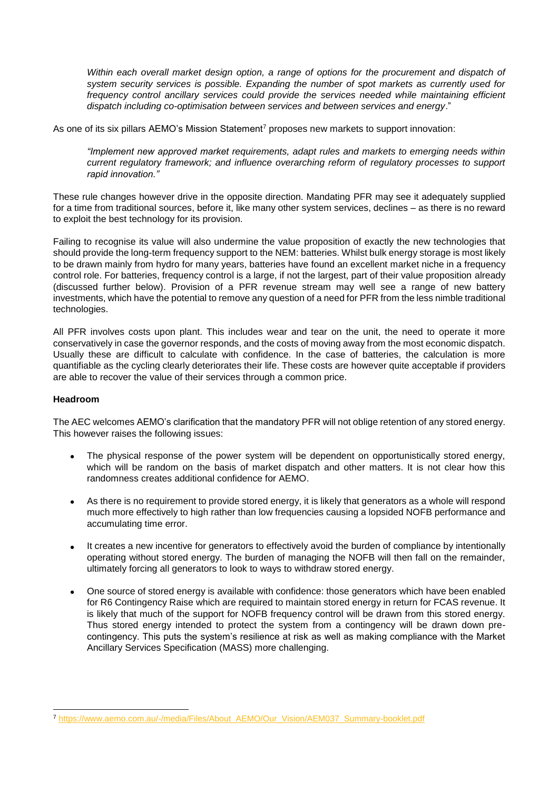*Within each overall market design option, a range of options for the procurement and dispatch of system security services is possible. Expanding the number of spot markets as currently used for*  frequency control ancillary services could provide the services needed while maintaining efficient *dispatch including co-optimisation between services and between services and energy*."

As one of its six pillars AEMO's Mission Statement<sup>7</sup> proposes new markets to support innovation:

*"Implement new approved market requirements, adapt rules and markets to emerging needs within current regulatory framework; and influence overarching reform of regulatory processes to support rapid innovation."*

These rule changes however drive in the opposite direction. Mandating PFR may see it adequately supplied for a time from traditional sources, before it, like many other system services, declines – as there is no reward to exploit the best technology for its provision.

Failing to recognise its value will also undermine the value proposition of exactly the new technologies that should provide the long-term frequency support to the NEM: batteries. Whilst bulk energy storage is most likely to be drawn mainly from hydro for many years, batteries have found an excellent market niche in a frequency control role. For batteries, frequency control is a large, if not the largest, part of their value proposition already (discussed further below). Provision of a PFR revenue stream may well see a range of new battery investments, which have the potential to remove any question of a need for PFR from the less nimble traditional technologies.

All PFR involves costs upon plant. This includes wear and tear on the unit, the need to operate it more conservatively in case the governor responds, and the costs of moving away from the most economic dispatch. Usually these are difficult to calculate with confidence. In the case of batteries, the calculation is more quantifiable as the cycling clearly deteriorates their life. These costs are however quite acceptable if providers are able to recover the value of their services through a common price.

#### **Headroom**

-

The AEC welcomes AEMO's clarification that the mandatory PFR will not oblige retention of any stored energy. This however raises the following issues:

- The physical response of the power system will be dependent on opportunistically stored energy, which will be random on the basis of market dispatch and other matters. It is not clear how this randomness creates additional confidence for AEMO.
- As there is no requirement to provide stored energy, it is likely that generators as a whole will respond much more effectively to high rather than low frequencies causing a lopsided NOFB performance and accumulating time error.
- It creates a new incentive for generators to effectively avoid the burden of compliance by intentionally operating without stored energy. The burden of managing the NOFB will then fall on the remainder, ultimately forcing all generators to look to ways to withdraw stored energy.
- One source of stored energy is available with confidence: those generators which have been enabled for R6 Contingency Raise which are required to maintain stored energy in return for FCAS revenue. It is likely that much of the support for NOFB frequency control will be drawn from this stored energy. Thus stored energy intended to protect the system from a contingency will be drawn down precontingency. This puts the system's resilience at risk as well as making compliance with the Market Ancillary Services Specification (MASS) more challenging.

<sup>7</sup> [https://www.aemo.com.au/-/media/Files/About\\_AEMO/Our\\_Vision/AEM037\\_Summary-booklet.pdf](https://www.aemo.com.au/-/media/Files/About_AEMO/Our_Vision/AEM037_Summary-booklet.pdf)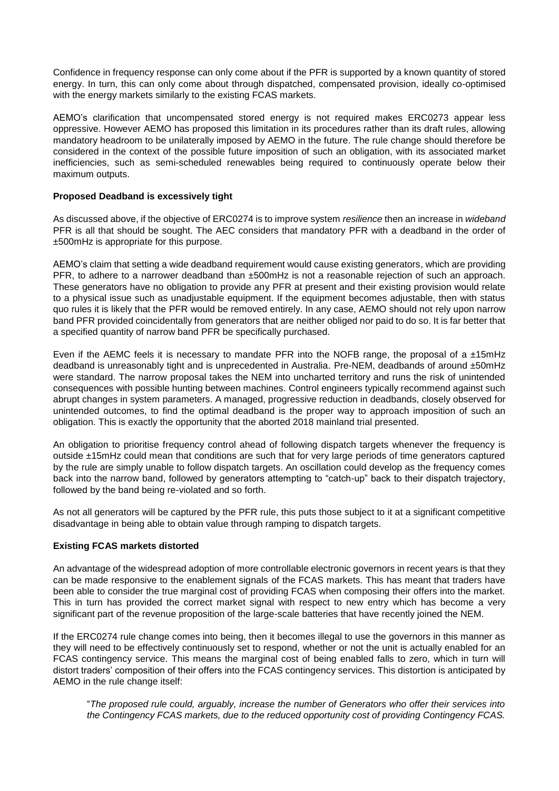Confidence in frequency response can only come about if the PFR is supported by a known quantity of stored energy. In turn, this can only come about through dispatched, compensated provision, ideally co-optimised with the energy markets similarly to the existing FCAS markets.

AEMO's clarification that uncompensated stored energy is not required makes ERC0273 appear less oppressive. However AEMO has proposed this limitation in its procedures rather than its draft rules, allowing mandatory headroom to be unilaterally imposed by AEMO in the future. The rule change should therefore be considered in the context of the possible future imposition of such an obligation, with its associated market inefficiencies, such as semi-scheduled renewables being required to continuously operate below their maximum outputs.

#### **Proposed Deadband is excessively tight**

As discussed above, if the objective of ERC0274 is to improve system *resilience* then an increase in *wideband* PFR is all that should be sought. The AEC considers that mandatory PFR with a deadband in the order of ±500mHz is appropriate for this purpose.

AEMO's claim that setting a wide deadband requirement would cause existing generators, which are providing PFR, to adhere to a narrower deadband than ±500mHz is not a reasonable rejection of such an approach. These generators have no obligation to provide any PFR at present and their existing provision would relate to a physical issue such as unadjustable equipment. If the equipment becomes adjustable, then with status quo rules it is likely that the PFR would be removed entirely. In any case, AEMO should not rely upon narrow band PFR provided coincidentally from generators that are neither obliged nor paid to do so. It is far better that a specified quantity of narrow band PFR be specifically purchased.

Even if the AEMC feels it is necessary to mandate PFR into the NOFB range, the proposal of a ±15mHz deadband is unreasonably tight and is unprecedented in Australia. Pre-NEM, deadbands of around ±50mHz were standard. The narrow proposal takes the NEM into uncharted territory and runs the risk of unintended consequences with possible hunting between machines. Control engineers typically recommend against such abrupt changes in system parameters. A managed, progressive reduction in deadbands, closely observed for unintended outcomes, to find the optimal deadband is the proper way to approach imposition of such an obligation. This is exactly the opportunity that the aborted 2018 mainland trial presented.

An obligation to prioritise frequency control ahead of following dispatch targets whenever the frequency is outside ±15mHz could mean that conditions are such that for very large periods of time generators captured by the rule are simply unable to follow dispatch targets. An oscillation could develop as the frequency comes back into the narrow band, followed by generators attempting to "catch-up" back to their dispatch trajectory, followed by the band being re-violated and so forth.

As not all generators will be captured by the PFR rule, this puts those subject to it at a significant competitive disadvantage in being able to obtain value through ramping to dispatch targets.

# **Existing FCAS markets distorted**

An advantage of the widespread adoption of more controllable electronic governors in recent years is that they can be made responsive to the enablement signals of the FCAS markets. This has meant that traders have been able to consider the true marginal cost of providing FCAS when composing their offers into the market. This in turn has provided the correct market signal with respect to new entry which has become a very significant part of the revenue proposition of the large-scale batteries that have recently joined the NEM.

If the ERC0274 rule change comes into being, then it becomes illegal to use the governors in this manner as they will need to be effectively continuously set to respond, whether or not the unit is actually enabled for an FCAS contingency service. This means the marginal cost of being enabled falls to zero, which in turn will distort traders' composition of their offers into the FCAS contingency services. This distortion is anticipated by AEMO in the rule change itself:

"*The proposed rule could, arguably, increase the number of Generators who offer their services into the Contingency FCAS markets, due to the reduced opportunity cost of providing Contingency FCAS.*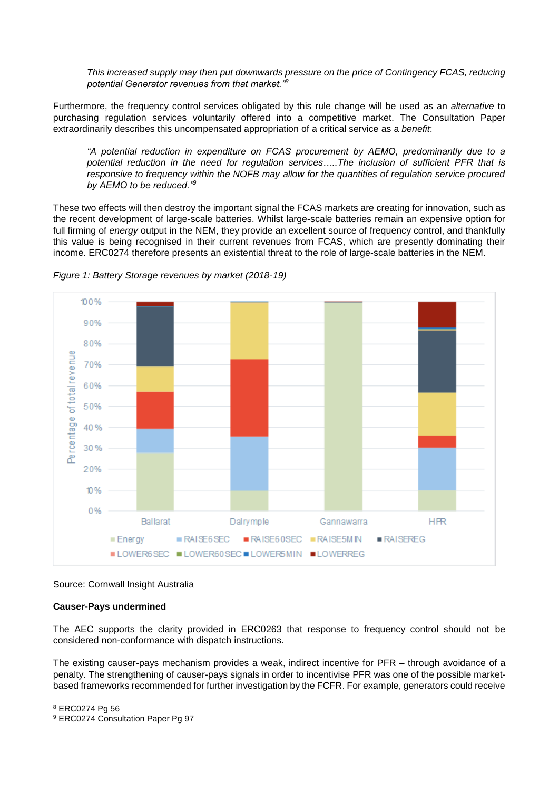*This increased supply may then put downwards pressure on the price of Contingency FCAS, reducing potential Generator revenues from that market."<sup>8</sup>*

Furthermore, the frequency control services obligated by this rule change will be used as an *alternative* to purchasing regulation services voluntarily offered into a competitive market. The Consultation Paper extraordinarily describes this uncompensated appropriation of a critical service as a *benefit*:

*"A potential reduction in expenditure on FCAS procurement by AEMO, predominantly due to a potential reduction in the need for regulation services…..The inclusion of sufficient PFR that is responsive to frequency within the NOFB may allow for the quantities of regulation service procured by AEMO to be reduced."<sup>9</sup>*

These two effects will then destroy the important signal the FCAS markets are creating for innovation, such as the recent development of large-scale batteries. Whilst large-scale batteries remain an expensive option for full firming of *energy* output in the NEM, they provide an excellent source of frequency control, and thankfully this value is being recognised in their current revenues from FCAS, which are presently dominating their income. ERC0274 therefore presents an existential threat to the role of large-scale batteries in the NEM.



*Figure 1: Battery Storage revenues by market (2018-19)*

Source: Cornwall Insight Australia

# **Causer-Pays undermined**

The AEC supports the clarity provided in ERC0263 that response to frequency control should not be considered non-conformance with dispatch instructions.

The existing causer-pays mechanism provides a weak, indirect incentive for PFR – through avoidance of a penalty. The strengthening of causer-pays signals in order to incentivise PFR was one of the possible marketbased frameworks recommended for further investigation by the FCFR. For example, generators could receive

1

<sup>8</sup> ERC0274 Pg 56

<sup>9</sup> ERC0274 Consultation Paper Pg 97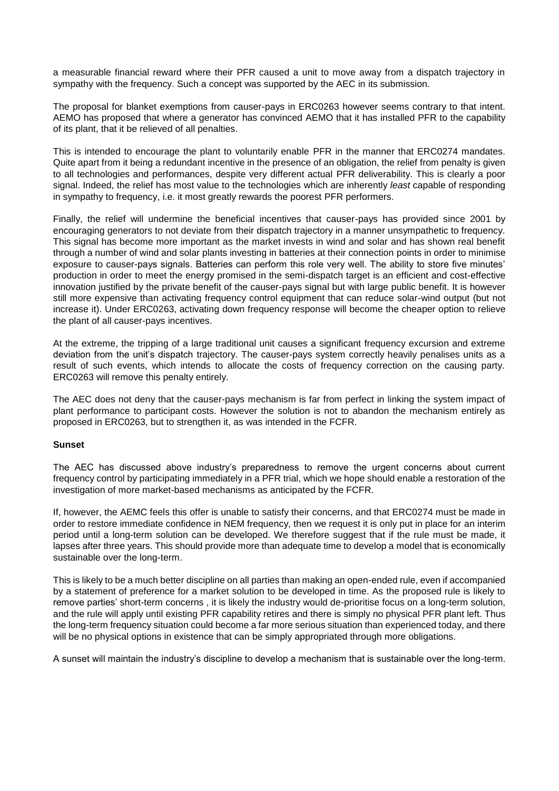a measurable financial reward where their PFR caused a unit to move away from a dispatch trajectory in sympathy with the frequency. Such a concept was supported by the AEC in its submission.

The proposal for blanket exemptions from causer-pays in ERC0263 however seems contrary to that intent. AEMO has proposed that where a generator has convinced AEMO that it has installed PFR to the capability of its plant, that it be relieved of all penalties.

This is intended to encourage the plant to voluntarily enable PFR in the manner that ERC0274 mandates. Quite apart from it being a redundant incentive in the presence of an obligation, the relief from penalty is given to all technologies and performances, despite very different actual PFR deliverability. This is clearly a poor signal. Indeed, the relief has most value to the technologies which are inherently *least* capable of responding in sympathy to frequency, i.e. it most greatly rewards the poorest PFR performers.

Finally, the relief will undermine the beneficial incentives that causer-pays has provided since 2001 by encouraging generators to not deviate from their dispatch trajectory in a manner unsympathetic to frequency. This signal has become more important as the market invests in wind and solar and has shown real benefit through a number of wind and solar plants investing in batteries at their connection points in order to minimise exposure to causer-pays signals. Batteries can perform this role very well. The ability to store five minutes' production in order to meet the energy promised in the semi-dispatch target is an efficient and cost-effective innovation justified by the private benefit of the causer-pays signal but with large public benefit. It is however still more expensive than activating frequency control equipment that can reduce solar-wind output (but not increase it). Under ERC0263, activating down frequency response will become the cheaper option to relieve the plant of all causer-pays incentives.

At the extreme, the tripping of a large traditional unit causes a significant frequency excursion and extreme deviation from the unit's dispatch trajectory. The causer-pays system correctly heavily penalises units as a result of such events, which intends to allocate the costs of frequency correction on the causing party. ERC0263 will remove this penalty entirely.

The AEC does not deny that the causer-pays mechanism is far from perfect in linking the system impact of plant performance to participant costs. However the solution is not to abandon the mechanism entirely as proposed in ERC0263, but to strengthen it, as was intended in the FCFR.

# **Sunset**

The AEC has discussed above industry's preparedness to remove the urgent concerns about current frequency control by participating immediately in a PFR trial, which we hope should enable a restoration of the investigation of more market-based mechanisms as anticipated by the FCFR.

If, however, the AEMC feels this offer is unable to satisfy their concerns, and that ERC0274 must be made in order to restore immediate confidence in NEM frequency, then we request it is only put in place for an interim period until a long-term solution can be developed. We therefore suggest that if the rule must be made, it lapses after three years. This should provide more than adequate time to develop a model that is economically sustainable over the long-term.

This is likely to be a much better discipline on all parties than making an open-ended rule, even if accompanied by a statement of preference for a market solution to be developed in time. As the proposed rule is likely to remove parties' short-term concerns , it is likely the industry would de-prioritise focus on a long-term solution, and the rule will apply until existing PFR capability retires and there is simply no physical PFR plant left. Thus the long-term frequency situation could become a far more serious situation than experienced today, and there will be no physical options in existence that can be simply appropriated through more obligations.

A sunset will maintain the industry's discipline to develop a mechanism that is sustainable over the long-term.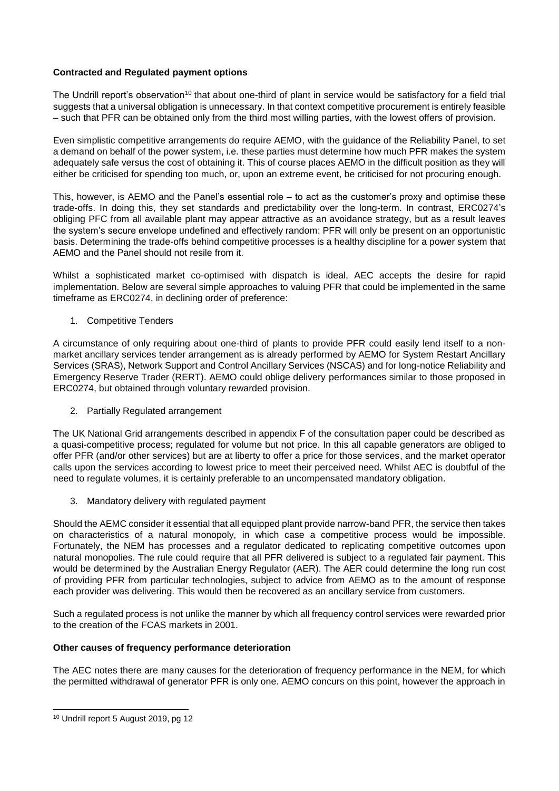# **Contracted and Regulated payment options**

The Undrill report's observation<sup>10</sup> that about one-third of plant in service would be satisfactory for a field trial suggests that a universal obligation is unnecessary. In that context competitive procurement is entirely feasible – such that PFR can be obtained only from the third most willing parties, with the lowest offers of provision.

Even simplistic competitive arrangements do require AEMO, with the guidance of the Reliability Panel, to set a demand on behalf of the power system, i.e. these parties must determine how much PFR makes the system adequately safe versus the cost of obtaining it. This of course places AEMO in the difficult position as they will either be criticised for spending too much, or, upon an extreme event, be criticised for not procuring enough.

This, however, is AEMO and the Panel's essential role – to act as the customer's proxy and optimise these trade-offs. In doing this, they set standards and predictability over the long-term. In contrast, ERC0274's obliging PFC from all available plant may appear attractive as an avoidance strategy, but as a result leaves the system's secure envelope undefined and effectively random: PFR will only be present on an opportunistic basis. Determining the trade-offs behind competitive processes is a healthy discipline for a power system that AEMO and the Panel should not resile from it.

Whilst a sophisticated market co-optimised with dispatch is ideal, AEC accepts the desire for rapid implementation. Below are several simple approaches to valuing PFR that could be implemented in the same timeframe as ERC0274, in declining order of preference:

1. Competitive Tenders

A circumstance of only requiring about one-third of plants to provide PFR could easily lend itself to a nonmarket ancillary services tender arrangement as is already performed by AEMO for System Restart Ancillary Services (SRAS), Network Support and Control Ancillary Services (NSCAS) and for long-notice Reliability and Emergency Reserve Trader (RERT). AEMO could oblige delivery performances similar to those proposed in ERC0274, but obtained through voluntary rewarded provision.

2. Partially Regulated arrangement

The UK National Grid arrangements described in appendix F of the consultation paper could be described as a quasi-competitive process; regulated for volume but not price. In this all capable generators are obliged to offer PFR (and/or other services) but are at liberty to offer a price for those services, and the market operator calls upon the services according to lowest price to meet their perceived need. Whilst AEC is doubtful of the need to regulate volumes, it is certainly preferable to an uncompensated mandatory obligation.

3. Mandatory delivery with regulated payment

Should the AEMC consider it essential that all equipped plant provide narrow-band PFR, the service then takes on characteristics of a natural monopoly, in which case a competitive process would be impossible. Fortunately, the NEM has processes and a regulator dedicated to replicating competitive outcomes upon natural monopolies. The rule could require that all PFR delivered is subject to a regulated fair payment. This would be determined by the Australian Energy Regulator (AER). The AER could determine the long run cost of providing PFR from particular technologies, subject to advice from AEMO as to the amount of response each provider was delivering. This would then be recovered as an ancillary service from customers.

Such a regulated process is not unlike the manner by which all frequency control services were rewarded prior to the creation of the FCAS markets in 2001.

# **Other causes of frequency performance deterioration**

The AEC notes there are many causes for the deterioration of frequency performance in the NEM, for which the permitted withdrawal of generator PFR is only one. AEMO concurs on this point, however the approach in

-

<sup>10</sup> Undrill report 5 August 2019, pg 12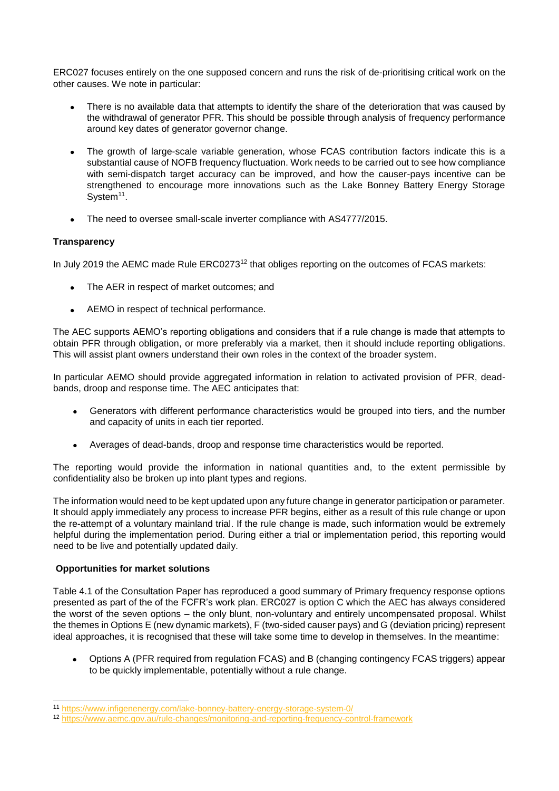ERC027 focuses entirely on the one supposed concern and runs the risk of de-prioritising critical work on the other causes. We note in particular:

- There is no available data that attempts to identify the share of the deterioration that was caused by the withdrawal of generator PFR. This should be possible through analysis of frequency performance around key dates of generator governor change.
- The growth of large-scale variable generation, whose FCAS contribution factors indicate this is a substantial cause of NOFB frequency fluctuation. Work needs to be carried out to see how compliance with semi-dispatch target accuracy can be improved, and how the causer-pays incentive can be strengthened to encourage more innovations such as the Lake Bonney Battery Energy Storage System<sup>11</sup>.
- The need to oversee small-scale inverter compliance with AS4777/2015.

# **Transparency**

In July 2019 the AEMC made Rule  $ERCO273^{12}$  that obliges reporting on the outcomes of FCAS markets:

- The AER in respect of market outcomes; and
- AEMO in respect of technical performance.

The AEC supports AEMO's reporting obligations and considers that if a rule change is made that attempts to obtain PFR through obligation, or more preferably via a market, then it should include reporting obligations. This will assist plant owners understand their own roles in the context of the broader system.

In particular AEMO should provide aggregated information in relation to activated provision of PFR, deadbands, droop and response time. The AEC anticipates that:

- Generators with different performance characteristics would be grouped into tiers, and the number and capacity of units in each tier reported.
- Averages of dead-bands, droop and response time characteristics would be reported.

The reporting would provide the information in national quantities and, to the extent permissible by confidentiality also be broken up into plant types and regions.

The information would need to be kept updated upon any future change in generator participation or parameter. It should apply immediately any process to increase PFR begins, either as a result of this rule change or upon the re-attempt of a voluntary mainland trial. If the rule change is made, such information would be extremely helpful during the implementation period. During either a trial or implementation period, this reporting would need to be live and potentially updated daily.

# **Opportunities for market solutions**

1

Table 4.1 of the Consultation Paper has reproduced a good summary of Primary frequency response options presented as part of the of the FCFR's work plan. ERC027 is option C which the AEC has always considered the worst of the seven options – the only blunt, non-voluntary and entirely uncompensated proposal. Whilst the themes in Options E (new dynamic markets), F (two-sided causer pays) and G (deviation pricing) represent ideal approaches, it is recognised that these will take some time to develop in themselves. In the meantime:

 Options A (PFR required from regulation FCAS) and B (changing contingency FCAS triggers) appear to be quickly implementable, potentially without a rule change.

<sup>11</sup> <https://www.infigenenergy.com/lake-bonney-battery-energy-storage-system-0/>

<sup>12</sup> <https://www.aemc.gov.au/rule-changes/monitoring-and-reporting-frequency-control-framework>